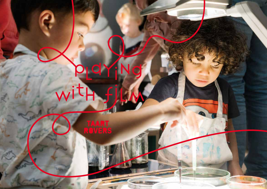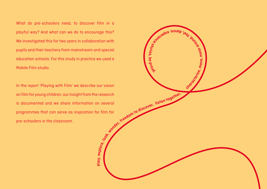What do pre-schoolers need, to discover film in a playful way? And what can we do to encourage this? We investigated this for two years in collaboration with pupils and their teachers from mainstream and special education schools. For this study in practice we used a Mobile Film studio.

In the report 'Playing with Film' we describe our vision on film for young children: our insight from the research is documented and we share information on several programmes that can serve as inspiration for film for pre-schoolers in the classroom.

**Pla**

our vision research a several research as every discover. Ilsten together. **e, mess around, <sup>e</sup><sup>f</sup> <sup>l</sup> <sup>e</sup> <sup>d</sup>, <sup>e</sup>, <sup>e</sup>cn<sup>a</sup> <sup>p</sup><sup>x</sup> <sup>e</sup><sup>r</sup> <sup>e</sup><sup>i</sup> <sup>n</sup>c<sup>e</sup> <sup>s</sup>tor<sup>i</sup>es, b e proud.**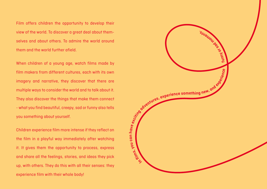Film offers children the opportunity to develop their view of the world. To discover a great deal about themselves and about others. To admire the world around them and the world further afield.

When children of a young age, watch films made by film makers from different cultures, each with its own imagery and narrative, they discover that there are multiple ways to consider the world and to talk about it. They also discover the things that make them connect - what you find beautiful, creepy, sad or funny also tells you something about yourself.

Children experience film more intense if they reflect on the film in a playful way immediately after watching it. It gives them the opportunity to process, express and share all the feelings, stories, and ideas they pick up, with others. They do this with all their senses: they experience film with their whole body!

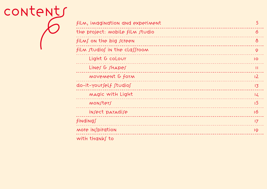| CONTENTS |                                  |                |
|----------|----------------------------------|----------------|
|          | film, imagination and experiment | 5 <sup>1</sup> |
|          | the project: mobile film studio  | $\sigma$       |
|          | films on the big screen          | $\delta$       |
|          | film studios in the classroom    | 9              |
|          | Light & coLour                   | IO             |
|          | Lines & shapes                   | $\mathbf{H}$   |
|          | MOVEMENT & form                  | 12             |
|          | do-it-yourself studios           | 13             |
|          | MAGIC WITH Light                 | 14             |
|          | monsters                         | 15             |
|          | insect paradise                  | 16             |
|          | findings                         | 17             |
|          | <b>More in∫piration</b>          | 19             |
|          | with thanks to                   |                |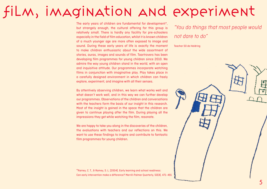## film, imagination and experiment

The early years of children are fundamental for development\*, but strangely enough, the cultural offering for this group is relatively small. There is hardly any facility for pre-schoolers especially in the field of film education, whilst it is known children of a much younger age are more often exposed to image and sound. During these early years of life is exactly the moment to make children enthusiastic about the wide assortment of stories, auras, images and sounds of film. Taartrovers has been developing film programmes for young children since 2010. We admire the way young children stand in the world, with an open and inquisitive attitude. Our programmes incorporate watching films in conjunction with imaginative play. Play takes place in a carefully designed environment in which children can freely explore, experiment, and imagine with all their senses.

By attentively observing children, we learn what works well and what doesn't work well, and in this way we can further develop our programmes. Observations of the children and conversations with the teachers form the basis of our insight in this research. Most of the insight is gained in the space that the children are given to continue playing after the film. During playing all the impressions they get while watching the film, resonate.

We are happy to take you along in the discoveries of the children, the evaluations with teachers and our reflections on this. We want to use these findings to inspire and contribute to fantastic film programmes for young children.

\*Ramey, C. T., & Ramey, S. L. (2004). Early learning and school readiness: Can early intervention make a difference? Merrill-Palmer Quarterly, 50(4), 471–491

"You do things that most people would not dare to do"

Teacher SO de Heldring

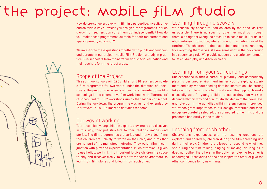## the project: mobile film studio

How do pre-schoolers play with film in a perceptive, investigative and enjoyable way? How can you design film programmes in such a way that teachers can carry them out independently? How do you make these programmes suitable for both mainstream and special primary education?

We investigate these questions together with pupils and teachers and parents in our project: Mobile Film Studio - a study in practice. Pre-schoolers from mainstream and special education and their teachers form the target group.

### Scope of the Project

- -

> Three primary schools with 120 children and 16 teachers complete a film programme for two years under the direction of Taartrovers. The programme consists of four parts: two interactive film screenings in the cinema, five film workshops with 'Taartrovers' at school and four DIY workshops run by the teachers at school. During the lockdown, the programme was run and extended by Taartrovers Thuis, 15 films with activities for home.

### Our way of working

Taartrovers lets young children explore, play, make and discover. In this way, they put structure to their feelings, images and stories. The film programmes are varied and many-sided, films that children are unlikely to watch on their own, and films that are not part of the mainstream offering. They watch film in conjunction with play and experimentation. Much attention is given to aesthetics. We think it is important to give children the space to play and discover freely, to learn from their environment, to learn from film stories and to learn from each other.

### Learning through discovery

We consciously choose to lead children by the hand, as little as possible. There is no specific route they must go through, there is no right or wrong, no pressure to see a result. For us, it's about intrinsic motivation, where fun and fascination are at the forefront. The children are the researchers and the makers; they try everything themselves. We are somewhat in the background in a supervisory role. We provide support and a safe environment to let children play and discover freely.

### Learning from your surroundings

Our experience is that a carefully, playfully, and aesthetically pleasing designed environment invites you to explore, experiment and play, without needing detailed instruction. The setting takes on the role of a teacher, as it were. This approach works especially well, for young children because they can work independently this way and can intuitively step in at their own level and take part in the activities within the environment provided. We attach great importance to our design: materials and technology are carefully selected, are connected to the films and are presented beautifully in the studios.

### Learning from each other

Observations, experiences, and the resulting creations are explored and shared by children during the film screening and during their play. Children are allowed to respond to what they see during the film talking, singing or moving, as long as it does not bother the others. In the activities, playing together is encouraged. Discoveries of one can inspire the other or give the other confidence to try new things.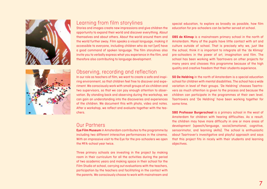



### Learning from film storylines

Stories and images create new impressions and give children the opportunity to expand their world and discover everything. About themselves and about others. About the world around them and the world further away. Film speaks a visual language, making it accessible to everyone, including children who do not (yet) have a good command of spoken language. The film storylines also invite you to verbally express what you experience in the film, and therefore also contributing to language development.

### Observing, recording and reflection

In our role as teachers of film, we want to create a safe and inspiring environment, so that children feel free to discover and experiment. We consciously work with small groups of six children and two supervisors, so that we can pay enough attention to observation. By standing back and observing during the workshop, we can gain an understanding into the discoveries and experiences of the children. We document this with photo, video and notes. After a workshop, we reflect and evaluate together with the teachers.

### Our Partners

**Eye Film Museum** in Amsterdam contributes to the programme by including two different interactive performances in the cinema. With an impressive visit to the Eye for the pre-schoolers we open the MFA-school year twice.

Three primary schools are investing in the project by making room in their curriculum for all the activities during the period of two academic years and making space in their school for the Film Studio at school, carrying out evaluations with the teachers, participation by the teachers and facilitating in the contact with the parents. We consciously choose to work with mainstream and

special education, to explore as broadly as possible, how film education for pre-schoolers can be better served at school.

**OBS de Klimop** is a mainstream primary school in the north of Amsterdam. Many of the pupils have little contact with art and culture outside of school. That is precisely why we, just like the school, think it is important to integrate all the 'de Klimop' pre-schoolers in the power of art, imagination and film. The school has been working with Taartrovers on other projects for many years and chooses this programme because of the high quality and creative freedom that their students experience.

**SO De Heldring** in the north of Amsterdam is a special education school for children with mental disabilities. The school has a wide variation in level of their groups. 'De Heldring' chooses Taartrovers as much attention is given to the process and because the children can participate in the programmes at their own level. Taartrovers and 'De Heldring' have been working together for some time.

**SBO Professor Burgerschool** is a primary school in the west of Amsterdam for children with hearing difficulties. As a result, the children may have more difficulty in one or more areas of development (speech/language, social/emotional, cognitive, sensorimotor, and learning skills). The school is enthusiastic about Taartrover's investigative and playful approach and says that this project fits in nicely with their students and learning objectives.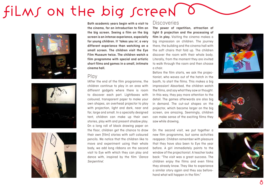# films on the big screen







**Both academic years begin with a visit to the cinema, for an introduction to film on the big screen. Seeing a film on the big screen is an intense experience, especially for young children. It 'takes you in', a very different experience than watching on a small screen. The children visit the Eye Film Museum twice. The children watch a film programme with special and artistic short films and games in a small, intimate cinema hall.**

### Play

IAfter the end of the film programme, the children continue to play in an area with different gadgets where there is room to discover each part. Lightboxes with coloured, transparent paper to make your own shapes, an overhead projector to play with projection, light and dark, near and far, large and small. In a specially designed tent, children can make up their own stories, play with and present shadow play. On a long roll of black drawing paper on the floor, children get the chance to draw their own (film) stories with soft coloured pencils. We notice that the children like to move and experiment using their whole body, we add long ribbons on the second visit to Eye with which they can play and dance with, inspired by the film 'Dance Serpentine'.

#### **Discoveries**

**The power of repetition, attraction of light & projection and the processing of film in play.** Visiting the cinema makes a big impression on children. The journey there, the building and the cinema hall with the soft chairs that fold up. The children discover the room with their whole body. Literally, from the moment they are invited to walk through the room and then choose a chair.

Before the film starts, we ask the projectionist, who waves out of the hatch in the booth, to start the films. This makes a big impression! Absorbed, the children watch the films, and say what they saw or thought. In this way, they pay more attention to the detail. The games afterwards are also big in demand. The cut-out shapes on the projector, which become larger on the big screen, are amazing. Seemingly, children can make sense of the exciting films they saw while drawing.

On the second visit, we put together a new film programme, but some activities reappear. Children remember with pleasure that they have also been to Eye the year before. A girl immediately points to the window of the projectionist. A teacher looks back: "The visit was a great success. The children enjoy the films and even films they already know. They like to experience a similar story again and they say beforehand what will happen in the film."





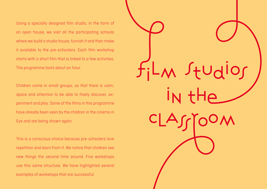Using a specially designed film studio, in the form of an open house, we visit all the participating schools where we build a studio house, furnish it and then make it available to the pre-schoolers. Each film workshop starts with a short film that is linked to a few activities. The programme lasts about an hour.

Children come in small groups, so that there is calm, space and attention to be able to freely discover, experiment and play. Some of the films in this programme have already been seen by the children in the cinema in Eye and are being shown again.

This is a conscious choice because pre-schoolers love repetition and learn from it. We notice that children see new things the second time around. Five workshops use this same structure. We have highlighted several examples of workshops that are successful.

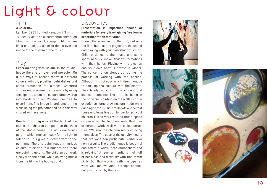## LIGHT & COLOUR

### Film

#### **A Color Box**

Len Lye | 1935 | United Kingdom | 3 min. 'A Colour Box' is an experimental animation film. It is a colourful, energetic film, where lines and colours seem to dance over the image to the rhythm of the music.

### Play

**Experimenting with Colour.** In the studiohouse there is an overhead projector. On it are trays of ecoline ready in different colours with oil, pipettes, petri dishes and some protection for clothes. Colourful shapes and movements are made by using the pipettes to put the colours drop by drop into bowls with oil. Children are free to experiment. The image is projected on the walls using the projector and so in this way shared with everyone.

**Painting in a big way.** At the back of the studio, the children can paint on the walls of the studio house. The walls are trans parent, which makes it easy for the light to fall on to. This gives a lovely effect to the paintings. There is paint ready in various colours, thick and thin brushes and there are painting aprons. The children can work freely with the paint, while enjoying music from the film in the background.

### **Discoveries**

**Presentation is important, choice of materials for every level, giving freedom in experimentation motivates.**

During the screening of the film, not only the film, but also the projection, the sound and playing with your own shadow is a hit. Children dance to the music and some spontaneously make shadow formations with their hands. Playing with projection and your own body is always a winner. The concentration stands out during the process of working with the ecoline. Although it is not easy, all children manage to soak up the colours with the pipette. They busily work with the colours and shapes, some feel like it is like being in the universe. Painting on the walls is a fun experience, large drawings are made while dancing to the music, small dots on the fast tones and large lines on longer tones. Most children like to work with as much space as possible. The teachers note that free exploration works well within a clear struc ture. "We saw the children really enjoying themselves. The ease of the activity means that everyone can participate, verbally or non-verbally. The studio house is beautiful and offers a warm, safe atmosphere and is relaxing." A teacher mentions that half of her class has difficulty with fine motor skills, but that working with the pipettes went well for everyone, perhaps additio nally motivated by the result.







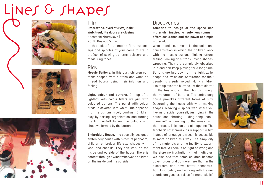LINES & SHAPES







### Film

**Ostorozhno, dveri otkryvajutsia! Watch out, the doors are closing!** Anastasia Zhuravleva | 2016 | Russia | 5 min.

In this colourful animation film, buttons, zips and spindles of yarn come to life in a décor of sewing patterns, scissors and measuring tapes.

### Play

**Mosaic Buttons.** In this part, children can make shapes from buttons and wires on thread boards using their intuition and feeling.

**Light, colour and buttons.** On top of a lightbox with colour filters are jars with coloured buttons. The panel with colour areas is covered with white lime paper so that the buttons nicely contrast. Children play by sorting, organisation and turning the light on/off to see the colours and shadows formed by the buttons.

**Embroidery House.** In a specially designed embroidery house with plates of pegboard, children embroider life-size shapes with wool and chenille. They can work on the inside and outside of the house. There is contact through a window between children on the inside and the outside.

### **Discoveries**

**Attention to design of the space and materials inspire, a safe environment offers assurance and the power of simple material.**

What stands out most, is the quiet and concentration in which the children work with the mosaic buttons. Making letters, feeling, looking at buttons, laying shapes, wrapping. They are completely absorbed in it and can keep playing for a long time. Buttons are laid down on the lightbox by shape and by colour. Admiration for their beauty is clearly voiced. Many children like to tip over the buttons, let them clatter on the tray and sift their hands through the mountain of buttons. The embroidery house provokes different forms of play. Decorating the house with wire, making shapes, weaving a spider web where you live as a spider yourself, just lying in the house and chatting - 'ding-dong, can I come in?' or dancing to the music with the threads. This can and all happens. The teachers' note: "music as a support in film instead of language is nice; it is accessible to more children this way. The simplicity of the materials and the facility to experiment freely! There is no right or wrong and therefore no frustration - that motivates! We also see that some children become adventurous and do more here than in the classroom and have better concentration. Embroidery and working with the nail boards are good exercises for motor skills."



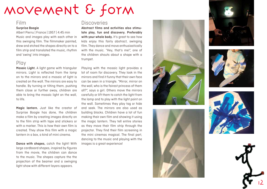## MOVEMENT & FORM

#### Film

#### **Surprise Boogie**

Albert Pierru | France | 1957 | 4.45 min Music and images play with each other in this swinging film. The filmmaker painted, drew and etched the shapes directly on to a film strip and translated the music, rhythm and 'swing' into images.

### Play

**Mosaic Light.** A light game with triangular mirrors. Light is reflected from the lamp on to the mirrors and a mosaic of light is created on the wall. The mirrors are easy to handle. By turning or tilting them, pushing them close or further away, children are able to bring the mosaic light on the wall, to life.

**Magic lantern.** Just like the creator of Surprise Boogie has done, the children make a film by creating images directly on to the film strip with tape and stickers or with a marker. This is how their own film is created. They show this film with a magic lantern in a box, a kind of mini cinema.

**Dance with shapes,** catch the light! With large cardboard shapes, inspired by figures from the movie, the children can dance to the music. The shapes capture the the projection of the beamer and a swinging light show with different layers appears.

### **Discoveries**

**Abstract films and activities also stimu late play, fun and discovery. Preferably**  with your whole body. It's great to see how kids enjoy this fairly abstract, swinging film. They dance and move enthusiastically with the music. "Hey, that's me!", one of the children shouts about a shape with a trumpet.

Playing with the mosaic light provides a lot of room for discovery. They look in the mirrors and find it funny that their own face can be seen in a triangle. "Mirror, mirror on the wall, who is the fairest princess of them all?", says a girl. Others move the mirrors carefully or lift them to catch the light from the lamp and to play with the light point on the wall. Sometimes they play tag or hide and seek. The mirrors are also used as building blocks. Children have a lot of fun making their own film and showing it using the magic lantern. They tell entire stories as they move their film strip through the projector. They find their film screening in the mini cinemas magical. The final part, dancing to the music and playing with the images is a great experience!











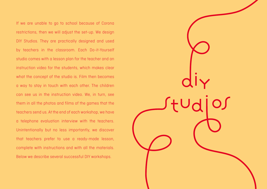If we are unable to go to school because of Corona restrictions, then we will adjust the set-up. We design DIY Studios. They are practically designed and used by teachers in the classroom. Each Do-it-Yourself studio comes with a lesson plan for the teacher and an instruction video for the students, which makes clear what the concept of the studio is. Film then becomes a way to stay in touch with each other. The children can see us in the instruction video. We, in turn, see them in all the photos and films of the games that the teachers send us. At the end of each workshop, we have a telephone evaluation interview with the teachers. Unintentionally but no less importantly, we discover that teachers prefer to use a ready-made lesson, complete with instructions and with all the materials. Below we describe several successful DIY workshops.

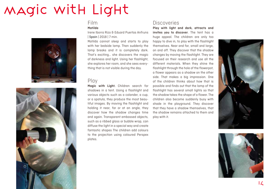## MAGIC WItH Light





#### Film **Matilda**

Irene Iborra Rizo & Eduard Puertas Anfruns | Spain | 2018 | 7 min.

Matilda cannot sleep and starts to play with her bedside lamp. Then suddenly the lamp breaks and it is completely dark. That's exciting… she discovers the magic of darkness and light. Using her flashlight, she explores her room, and she sees everything that is not visible during the day.

### Play

**Magic with Light.** Children search for shadows in a tent. Using a flashlight and various objects such as a colander, a cup, or a spatula, they produce the most beautiful images. By moving the flashlight and holding it near, far or at an angle, they discover how the shadow changes time and again. Transparent embossed objects, such as a ribbed glass or bubble wrap, can diffuse the light in a special way and create fantastic shapes The children add colours to the projection using coloured Perspex plates.

### **Discoveries**

**Play with light and dark, attracts and invites you to discover**. The tent has a huge appeal. The children are only too happy to dive in, to play with the flashlight themselves. Near and far, small and large, on and off. They discover that the shadow changes by moving the flashlight. They are focused on their research and use all the different materials. When they shine the flashlight through the hole of the flowerpot, a flower appears as a shadow on the other side. That makes a big impression. One of the children thinks about how that is possible and finds out that the lamp of the flashlight has several small lights so that the shadow takes the shape of a flower. The children also become suddenly busy with shade in the playground. They discover that they have a shadow themselves, that the shadow remains attached to them and play with it.



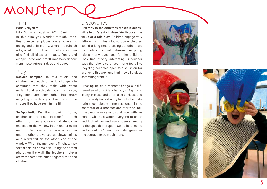## MONSTERS

### Film

#### **Paris Recyclers**

Nikki Schuster | Austria | 2011 | 6 min. In this film you wander through Paris. Past unexpected places. Places where it's messy and a little dirty. Where the rubbish rolls, whirls and blows but where you can also find all kinds of images. Funny and creepy, large and small monsters appear from those gutters, ridges and edges.

### Play

**Recycle samples.** In this studio, the children help each other to change into costumes that they make with waste material and recycled items. In this fashion, they transform each other into crazy recycling monsters just like the strange shapes they have seen in the film.

**Self-portrait.** On the drawing frame, children can continue to transform each other into monsters. One child stands on one side of the window in a monster outfit and in a funny or scary monster position and the other draws scales, claws, spines or a weird tail on the other side of the window. When the monster is finished, they take a portrait photo of it. Using the printed photos on the wall, the teachers make a crazy monster exhibition together with the children.

### **Discoveries**

**Diversity in the activities makes it acces sible to different children. We discover the value of a role play.** Children engage very differently in this studio. Some children spend a long time dressing up, others are completely absorbed in drawing. Recycling raises many questions for the children. They find it very interesting. A teacher says that she is surprised that a topic like recycling becomes open to discussion for everyone this way, and that they all pick up something from it.

Dressing up as a monster brings out different emotions. A teacher says: "A girl who is shy in class and often also anxious, and who already finds it scary to go to the audi torium, completely immerses herself in the character of a monster and starts to imi tate claws, make sounds and growl with her hands. She also wants everyone to come and look at her and even speaks directly to the speech therapist: 'Come here, come and look at me!' Being a monster, gives her the courage to do much more."





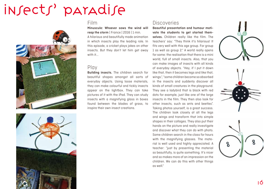## INSECTS' paradise





### Film

**Minuscule: Whoever sows the wind will reap the storm** | France | 2016 | 1 min. A hilarious and beautifully made animation in which insects play the leading role. In this episode, a cricket plays jokes on other insects. But they don't let him get away with it...

### Play

**Building insects.** The children search for beautiful shapes amongst all sorts of everyday objects. Using loose materials, they can make colourful and tickly insects appear on the lightbox. They can take pictures of it with the iPad. They can study insects with a magnifying glass in boxes found between the blades of grass, to inspire their own insect creations.

### **Discoveries**

**Beautiful presentation and humour motivate the students to get started themselves.** Children really like the film. The teachers' say: "They think it's hilarious! It fits very well with this age group. For group 1 as well as group 2." A world really opens for some: the realisation that there is a mini world, full of small insects. Also, that you can make images of insects with all kinds of everyday objects. "Hey, if I put it down like that, then it becomes legs and like that, wings.", "some children become so absorbed in the insects and suddenly discover all kinds of small creatures in the playground. They see a ladybird that is black with red dots for example, just like one of the large insects in the film. They then also look for other insects, such as ants and beetles". Taking photos yourself, is a great success. The children look closely at all the legs and wings and transform that into simple shapes in their collages. They also put their hands on the picture and really investigate and discover what they can do with photo. Some children search in the class for hours with the magnifying glasses. The material is well used and highly appreciated. A teacher: "just by presenting the material so beautifully, is quite something. It's nicer and so makes more of an impression on the children. We can do this with other things as well."

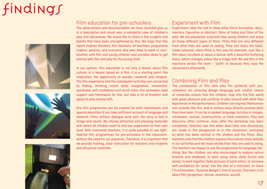# findings







### Film education for pre-schoolers

The observations and documentation we have recorded give us in a descriptive and visual way, a wonderful view of children's play and discoveries. We would like to share a few insights and beliefs that have been strengthened by this. We hope that this report inspires teachers, film teachers, art teachers, programme makers, parents, and everyone else who likes to work in combination with film and young children and provides ideas to get started with film and play for the young child.

In our opinion, film education is not only a lesson about film culture, or a lesson based on a film, it is a starting point: the inspiration, the opportunity to wonder, research and imagine. The film experience and the subsequent activities are connected by feeling, thinking, motor skills, imagination, movement, worldview, self-confidence and much more. Pre-schoolers need support and framework for this, but also a lot of freedom and space to play around with.

One film programme can be created for both mainstream and special education if you take sufficient account of language and material. Films without dialogue work well, the story is told in image and sound. We choose attractive and pleasing materials with which all children want to and can experiment at their own level. With motivated teachers, it is quite possible to use lighthearted film programmes for pre-schoolers in the classroom, without the need for our presence. Therefore, it is important that we provide training, clear instruction for teachers and students and attractive materials.

### Experiment with Film

Experiment, take the risk to show other films! Animation, documentary, figurative or abstract, films of today and films of the past. We are pleasantly surprised how young children can enjoy all these different types of films. Films that are very different from what they are used to seeing. They can enjoy old handmade coloured, silent films in this way for example. Just like a film about acrobats or about a dancer with a beautiful fluttering dress, which changes colour like a magic ball. We see this in the reactions across the room - 'oooh!' or because they copy the movements afterwards.

### Combining Film and Play

The combination of film with play fits perfectly with preschoolers. An amazing design language and careful choice of materials ensure that the children step into the film world with great pleasure and continue to play around with what they experience in the performance. Children can express themselves non-verbally like this, and in various ways directly process what they have seen. It can be in spoken language, but also in images, movement, sounds, constructions, or other creations. Play and discovery often continue, even after the workshop has been completed. Teachers see this when days later new discoveries are made in the playground or in the classroom, prompted by what has been started in the studios and the films. Also, teachers note that the children express themselves more verbally in our activities and tell more stories than they are used to doing. The teachers are happy to use the programme for language teaching. But the children are also encouraged to explore nature (insects and shadows), to work using motor skills (knots and wires), to work together (take pictures of each other), to increase self-confidence (to 'jump' into the skin of a monster), to move ('In a Colourbox', 'Surprise Boogie'). And of course, they learn a lot about film (projection, stories, emotions, sound).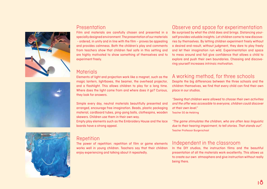### Presentation Film and materials are carefully chosen and presented in a

specially designed environment. The presentation of our materials - ordered, in unity and in line with the film – proves be appealing and provides calmness. Both the children's play and comments from teachers show that children feel safe in this setting and are highly motivated to show something of themselves and to experiment freely.

### **Materials**

Elements of light and projection work like a magnet, such as the magic lantern, lightboxes, the beamer, the overhead projector, and a flashlight. This allows children to play for a long time. Where does the light come from and where does it go? Curious, they look for answers.

Simple every day, neutral materials beautifully presented and arranged, encourage free imagination. Beads, plastic packaging material, cardboard tubes, ping-pong balls, clothespins, wooden skewers. Children use them in their own way.

Empty play elements such as the Embroidery House and the lace boards have a strong appeal.

### Repetition

The power of repetition: repetition of film or game elements works well in young children. Teachers say that their children enjoy experiencing and talking about it repeatedly.

## Observe and space for experimentation

Be surprised by what the child does and brings. Distancing yourself provides valuable insights. Let children come to new discoveries by themselves. By letting children experiment freely without a desired end-result, without judgment, they dare to play freely and let their imagination run wild. Experimentation and space to mess around and fail give confidence that allows a child to explore and push their own boundaries. Choosing and discovering yourself increases intrinsic motivation.

## A working method, for three schools

Despite the big differences between the three schools and the children themselves, we find that every child can find their own place in our studios.

"Seeing that children were allowed to choose their own activities and the offer was accessible to everyone, children could discover at their own level."

Teacher SO de Heldring

"The game stimulates the children, who are often less linguistic due to their hearing impairment, to tell stories. That stands out". Teacher Professor Burgerschool

### Independent in the classroom

In the DIY studios, the instruction films and the beautiful presentation of all the materials work excellently. This allows us to create our own atmosphere and give instruction without really being there.





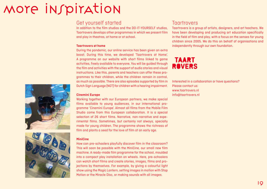## MOTE INSPITATION

### Get yourself started

In addition to the film studios and the DO-IT-YOURSELF studios, Taartrovers develops other programmes in which we present film and play in theatres, at home or at school.

#### **Taartrovers at home**

During the pandemic, our online service has been given an extra boost. During this time, we developed 'Taartrovers at Home'. A programme on our website with short films linked to game activities, freely available to everyone. You will be guided through the film and activities with the support of audio stories and visual instructions. Like this, parents and teachers can offer these programmes to their children, while the children remain in control, as much as possible. There are also episodes supported by film in Dutch Sign Language (NGT) for children with a hearing impairment.

#### **Cinemini Europe**

Working together with our European partners, we make special films available to young audiences, in our international programme 'Cinemini Europe'. Almost all films from the Mobile Film Studio come from this European collaboration. It is a special selection of 26 short films. Narrative, non-narrative and experimental films. Sometimes, but certainly not always, specially made for young children. The programme shows the richness of film and plants a seed for the love of film at an early age.

#### **MiniCine**

How can pre-schoolers playfully discover film in the classroom? This will soon be possible with the MiniCine, our small new film machine. A ready-made film programme for the school, moulded into a compact play installation on wheels. Here, pre-schoolers can watch short films and create stories, images, films and projections by themselves. For example, by giving a colourful light show using the Magic Lantern, setting images in motion with Stop Motion or the Miracle Disc, or making sounds with all images.

### Taartrovers

Taartrovers is a group of artists, designers, and art teachers. We have been developing and producing art education specifically in the field of film and play, with a focus on the senses for young children since 2005. We do this on behalf of organisations and independently through our own foundation.

## **TAART ROVERS**

Interested in a collaboration or have questions? Please contact us: www.taartrovers.nl info@taartrovers.nl